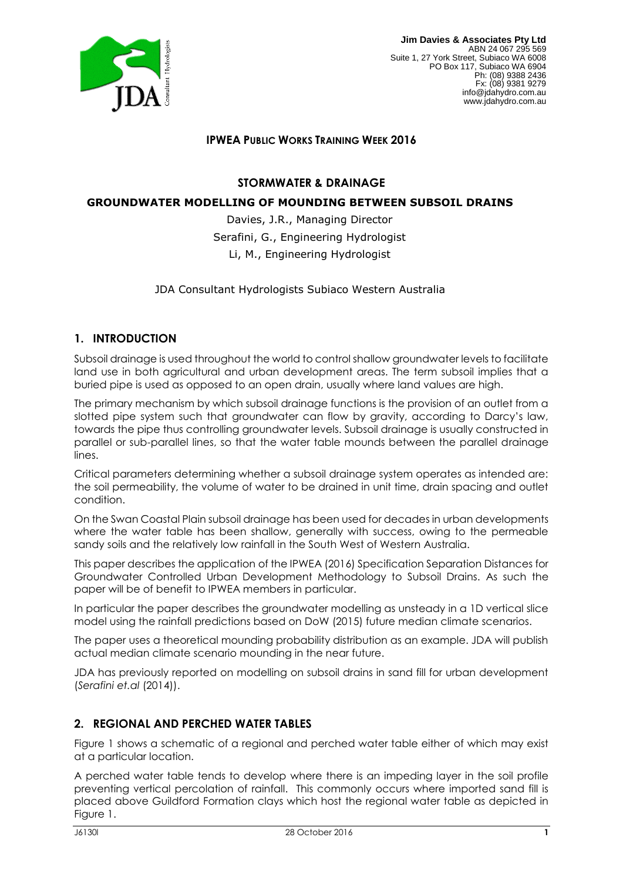

## **IPWEA PUBLIC WORKS TRAINING WEEK 2016**

### **STORMWATER & DRAINAGE**

#### **GROUNDWATER MODELLING OF MOUNDING BETWEEN SUBSOIL DRAINS**

Davies, J.R., Managing Director Serafini, G., Engineering Hydrologist Li, M., Engineering Hydrologist

JDA Consultant Hydrologists Subiaco Western Australia

#### **1. INTRODUCTION**

Subsoil drainage is used throughout the world to control shallow groundwater levels to facilitate land use in both agricultural and urban development areas. The term subsoil implies that a buried pipe is used as opposed to an open drain, usually where land values are high.

The primary mechanism by which subsoil drainage functions is the provision of an outlet from a slotted pipe system such that groundwater can flow by gravity, according to Darcy's law, towards the pipe thus controlling groundwater levels. Subsoil drainage is usually constructed in parallel or sub-parallel lines, so that the water table mounds between the parallel drainage lines.

Critical parameters determining whether a subsoil drainage system operates as intended are: the soil permeability, the volume of water to be drained in unit time, drain spacing and outlet condition.

On the Swan Coastal Plain subsoil drainage has been used for decades in urban developments where the water table has been shallow, generally with success, owing to the permeable sandy soils and the relatively low rainfall in the South West of Western Australia.

This paper describes the application of the IPWEA (2016) Specification Separation Distances for Groundwater Controlled Urban Development Methodology to Subsoil Drains. As such the paper will be of benefit to IPWEA members in particular.

In particular the paper describes the groundwater modelling as unsteady in a 1D vertical slice model using the rainfall predictions based on DoW (2015) future median climate scenarios.

The paper uses a theoretical mounding probability distribution as an example. JDA will publish actual median climate scenario mounding in the near future.

JDA has previously reported on modelling on subsoil drains in sand fill for urban development (*Serafini et.al* (2014)).

#### **2. REGIONAL AND PERCHED WATER TABLES**

Figure 1 shows a schematic of a regional and perched water table either of which may exist at a particular location.

A perched water table tends to develop where there is an impeding layer in the soil profile preventing vertical percolation of rainfall. This commonly occurs where imported sand fill is placed above Guildford Formation clays which host the regional water table as depicted in Figure 1.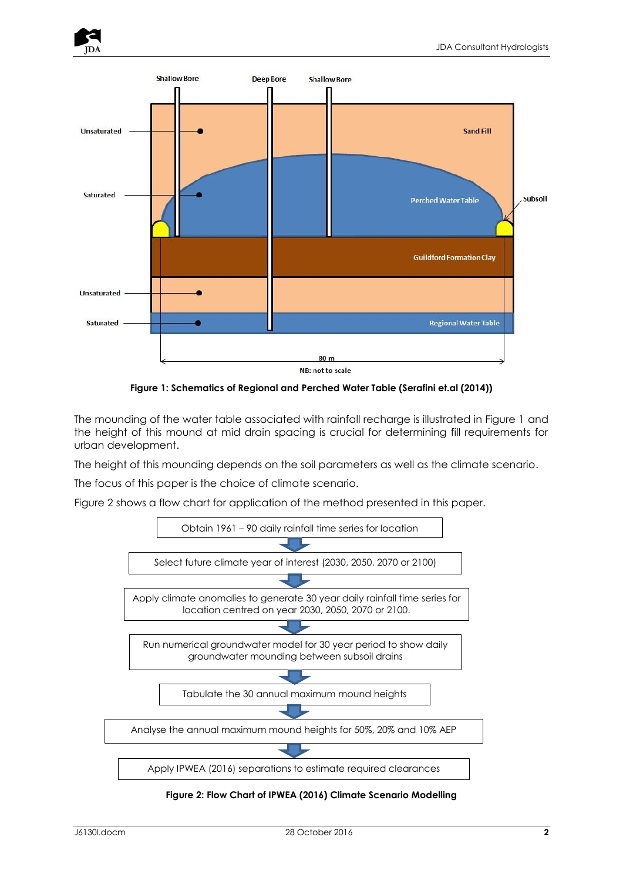



**Figure 1: Schematics of Regional and Perched Water Table (Serafini et.al (2014))**

The mounding of the water table associated with rainfall recharge is illustrated in Figure 1 and the height of this mound at mid drain spacing is crucial for determining fill requirements for urban development.

The height of this mounding depends on the soil parameters as well as the climate scenario.

The focus of this paper is the choice of climate scenario.

Figure 2 shows a flow chart for application of the method presented in this paper.



**Figure 2: Flow Chart of IPWEA (2016) Climate Scenario Modelling**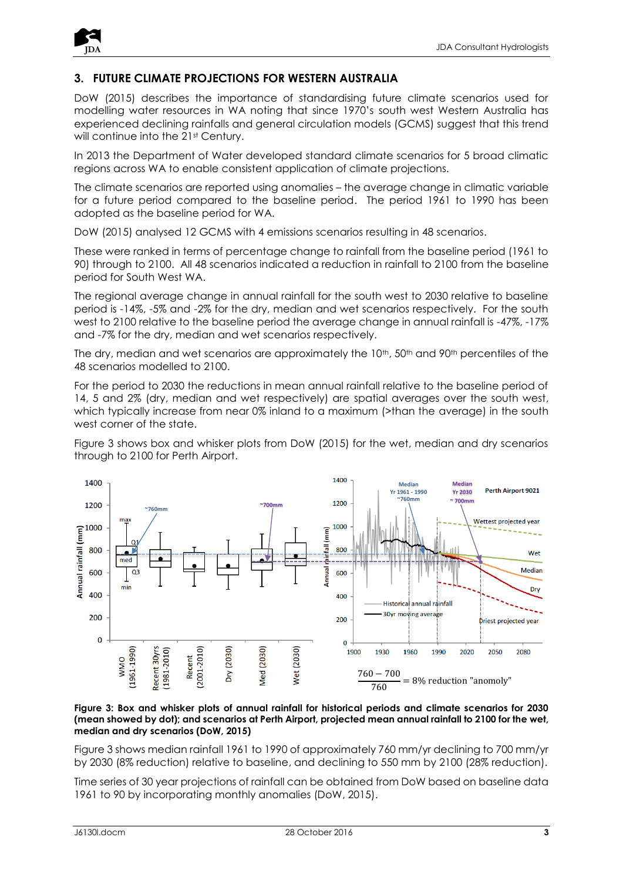

## **3. FUTURE CLIMATE PROJECTIONS FOR WESTERN AUSTRALIA**

DoW (2015) describes the importance of standardising future climate scenarios used for modelling water resources in WA noting that since 1970's south west Western Australia has experienced declining rainfalls and general circulation models (GCMS) suggest that this trend will continue into the 21<sup>st</sup> Century.

In 2013 the Department of Water developed standard climate scenarios for 5 broad climatic regions across WA to enable consistent application of climate projections.

The climate scenarios are reported using anomalies – the average change in climatic variable for a future period compared to the baseline period. The period 1961 to 1990 has been adopted as the baseline period for WA.

DoW (2015) analysed 12 GCMS with 4 emissions scenarios resulting in 48 scenarios.

These were ranked in terms of percentage change to rainfall from the baseline period (1961 to 90) through to 2100. All 48 scenarios indicated a reduction in rainfall to 2100 from the baseline period for South West WA.

The regional average change in annual rainfall for the south west to 2030 relative to baseline period is -14%, -5% and -2% for the dry, median and wet scenarios respectively. For the south west to 2100 relative to the baseline period the average change in annual rainfall is -47%, -17% and -7% for the dry, median and wet scenarios respectively.

The dry, median and wet scenarios are approximately the  $10<sup>th</sup>$ , 50<sup>th</sup> and 90<sup>th</sup> percentiles of the 48 scenarios modelled to 2100.

For the period to 2030 the reductions in mean annual rainfall relative to the baseline period of 14, 5 and 2% (dry, median and wet respectively) are spatial averages over the south west, which typically increase from near 0% inland to a maximum (>than the average) in the south west corner of the state.

Figure 3 shows box and whisker plots from DoW (2015) for the wet, median and dry scenarios through to 2100 for Perth Airport.



**Figure 3: Box and whisker plots of annual rainfall for historical periods and climate scenarios for 2030 (mean showed by dot); and scenarios at Perth Airport, projected mean annual rainfall to 2100 for the wet, median and dry scenarios (DoW, 2015)**

Figure 3 shows median rainfall 1961 to 1990 of approximately 760 mm/yr declining to 700 mm/yr by 2030 (8% reduction) relative to baseline, and declining to 550 mm by 2100 (28% reduction).

Time series of 30 year projections of rainfall can be obtained from DoW based on baseline data 1961 to 90 by incorporating monthly anomalies (DoW, 2015).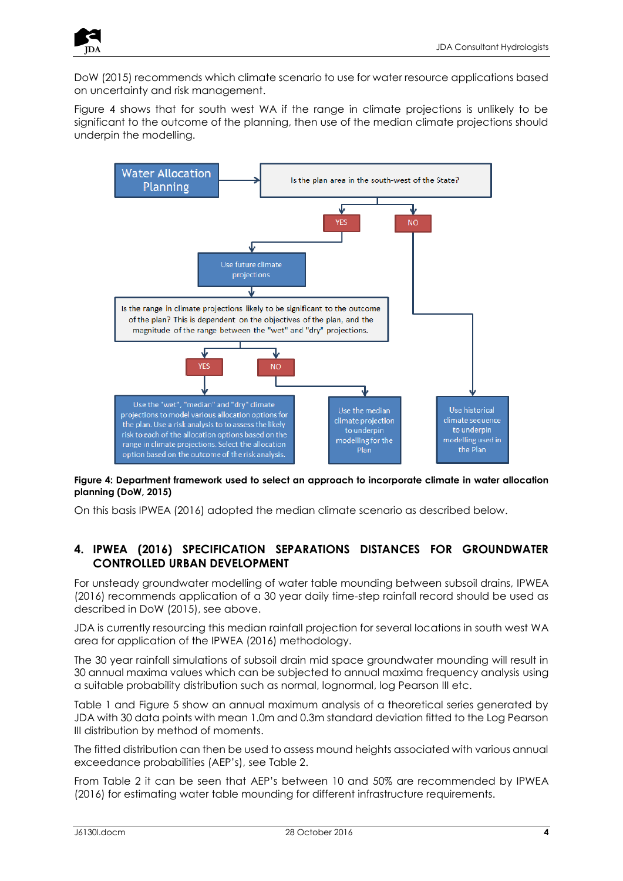

DoW (2015) recommends which climate scenario to use for water resource applications based on uncertainty and risk management.

Figure 4 shows that for south west WA if the range in climate projections is unlikely to be significant to the outcome of the planning, then use of the median climate projections should underpin the modelling.



**Figure 4: Department framework used to select an approach to incorporate climate in water allocation planning (DoW, 2015)**

On this basis IPWEA (2016) adopted the median climate scenario as described below.

#### **4. IPWEA (2016) SPECIFICATION SEPARATIONS DISTANCES FOR GROUNDWATER CONTROLLED URBAN DEVELOPMENT**

For unsteady groundwater modelling of water table mounding between subsoil drains, IPWEA (2016) recommends application of a 30 year daily time-step rainfall record should be used as described in DoW (2015), see above.

JDA is currently resourcing this median rainfall projection for several locations in south west WA area for application of the IPWEA (2016) methodology.

The 30 year rainfall simulations of subsoil drain mid space groundwater mounding will result in 30 annual maxima values which can be subjected to annual maxima frequency analysis using a suitable probability distribution such as normal, lognormal, log Pearson III etc.

Table 1 and Figure 5 show an annual maximum analysis of a theoretical series generated by JDA with 30 data points with mean 1.0m and 0.3m standard deviation fitted to the Log Pearson III distribution by method of moments.

The fitted distribution can then be used to assess mound heights associated with various annual exceedance probabilities (AEP's), see Table 2.

From Table 2 it can be seen that AEP's between 10 and 50% are recommended by IPWEA (2016) for estimating water table mounding for different infrastructure requirements.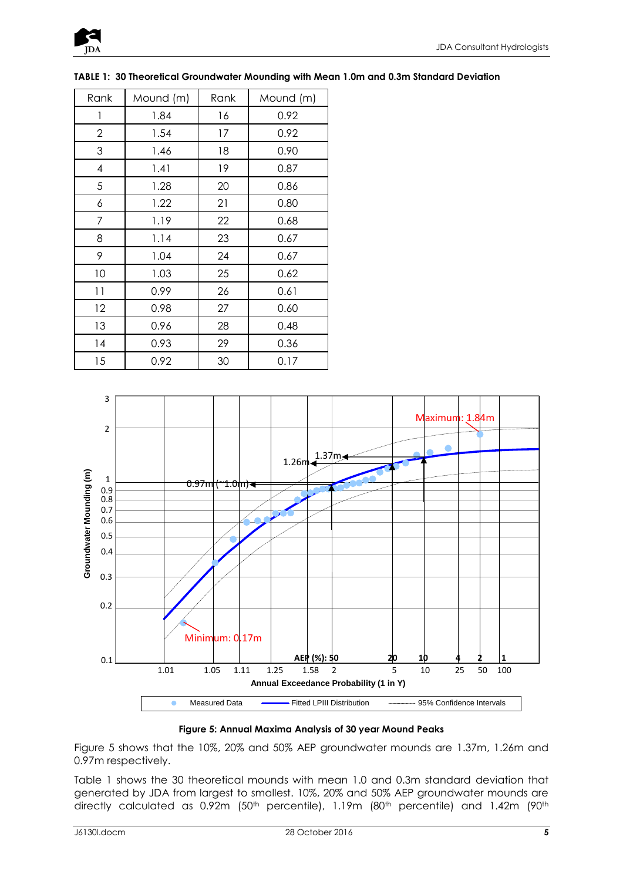

| Rank           | Mound (m) | Rank | Mound (m) |
|----------------|-----------|------|-----------|
| 1              | 1.84      | 16   | 0.92      |
| $\overline{2}$ | 1.54      | 17   | 0.92      |
| 3              | 1.46      | 18   | 0.90      |
| 4              | 1.41      | 19   | 0.87      |
| 5              | 1.28      | 20   | 0.86      |
| 6              | 1.22      | 21   | 0.80      |
| 7              | 1.19      | 22   | 0.68      |
| 8              | 1.14      | 23   | 0.67      |
| 9              | 1.04      | 24   | 0.67      |
| 10             | 1.03      | 25   | 0.62      |
| 11             | 0.99      | 26   | 0.61      |
| 12             | 0.98      | 27   | 0.60      |
| 13             | 0.96      | 28   | 0.48      |
| 14             | 0.93      | 29   | 0.36      |
| 15             | 0.92      | 30   | 0.17      |

**TABLE 1: 30 Theoretical Groundwater Mounding with Mean 1.0m and 0.3m Standard Deviation**



**Figure 5: Annual Maxima Analysis of 30 year Mound Peaks**

Figure 5 shows that the 10%, 20% and 50% AEP groundwater mounds are 1.37m, 1.26m and 0.97m respectively.

Table 1 shows the 30 theoretical mounds with mean 1.0 and 0.3m standard deviation that generated by JDA from largest to smallest. 10%, 20% and 50% AEP groundwater mounds are directly calculated as 0.92m (50<sup>th</sup> percentile), 1.19m (80<sup>th</sup> percentile) and 1.42m (90<sup>th</sup>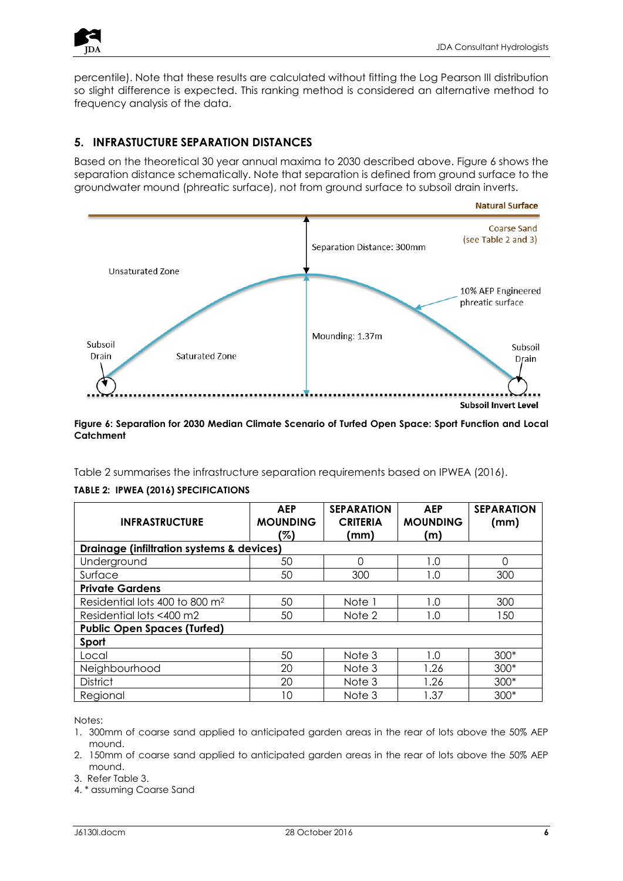

percentile). Note that these results are calculated without fitting the Log Pearson III distribution so slight difference is expected. This ranking method is considered an alternative method to frequency analysis of the data.

# **5. INFRASTUCTURE SEPARATION DISTANCES**

Based on the theoretical 30 year annual maxima to 2030 described above. Figure 6 shows the separation distance schematically. Note that separation is defined from ground surface to the groundwater mound (phreatic surface), not from ground surface to subsoil drain inverts.



#### **Figure 6: Separation for 2030 Median Climate Scenario of Turfed Open Space: Sport Function and Local Catchment**

Table 2 summarises the infrastructure separation requirements based on IPWEA (2016).

|  |  |  |  | TABLE 2: IPWEA (2016) SPECIFICATIONS |
|--|--|--|--|--------------------------------------|
|--|--|--|--|--------------------------------------|

| <b>INFRASTRUCTURE</b>                                | <b>AEP</b><br><b>MOUNDING</b><br>'%) | <b>SEPARATION</b><br><b>CRITERIA</b><br>(mm) | <b>AEP</b><br><b>MOUNDING</b><br>(m) | <b>SEPARATION</b><br>(mm) |  |  |
|------------------------------------------------------|--------------------------------------|----------------------------------------------|--------------------------------------|---------------------------|--|--|
| <b>Drainage (infiltration systems &amp; devices)</b> |                                      |                                              |                                      |                           |  |  |
| Underground                                          | 50                                   | Ω                                            | 1.0                                  | 0                         |  |  |
| Surface                                              | 50                                   | 300                                          | 1.0                                  | 300                       |  |  |
| <b>Private Gardens</b>                               |                                      |                                              |                                      |                           |  |  |
| Residential lots 400 to 800 m <sup>2</sup>           | 50                                   | Note 1                                       | 1.0                                  | 300                       |  |  |
| Residential lots <400 m2                             | 50                                   | Note 2                                       | 1.0                                  | 150                       |  |  |
| <b>Public Open Spaces (Turfed)</b>                   |                                      |                                              |                                      |                           |  |  |
| Sport                                                |                                      |                                              |                                      |                           |  |  |
| Local                                                | 50                                   | Note 3                                       | 1.0                                  | $300*$                    |  |  |
| Neighbourhood                                        | 20                                   | Note 3                                       | 1.26                                 | 300*                      |  |  |
| <b>District</b>                                      | 20                                   | Note 3                                       | 1.26                                 | 300*                      |  |  |
| Regional                                             | 10                                   | Note 3                                       | 1.37                                 | $300*$                    |  |  |

Notes:

- 1. 300mm of coarse sand applied to anticipated garden areas in the rear of lots above the 50% AEP mound.
- 2. 150mm of coarse sand applied to anticipated garden areas in the rear of lots above the 50% AEP mound.

3. Refer Table 3.

4. \* assuming Coarse Sand